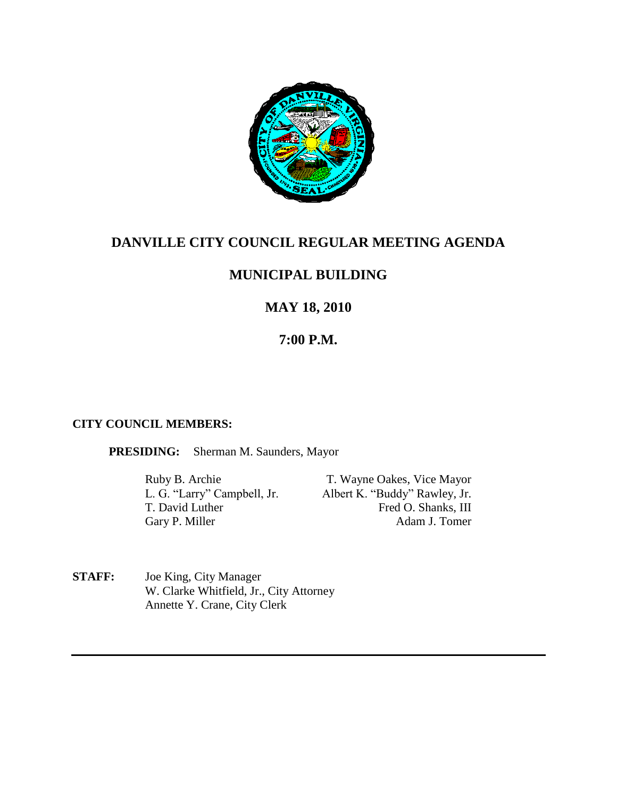

# **DANVILLE CITY COUNCIL REGULAR MEETING AGENDA**

## **MUNICIPAL BUILDING**

# **MAY 18, 2010**

# **7:00 P.M.**

### **CITY COUNCIL MEMBERS:**

**PRESIDING:** Sherman M. Saunders, Mayor

Ruby B. Archie T. Wayne Oakes, Vice Mayor<br>
L. G. "Larry" Campbell, Jr. Albert K. "Buddy" Rawley, Jr. Albert K. "Buddy" Rawley, Jr. T. David Luther Fred O. Shanks, III Gary P. Miller Adam J. Tomer

**STAFF:** Joe King, City Manager W. Clarke Whitfield, Jr., City Attorney Annette Y. Crane, City Clerk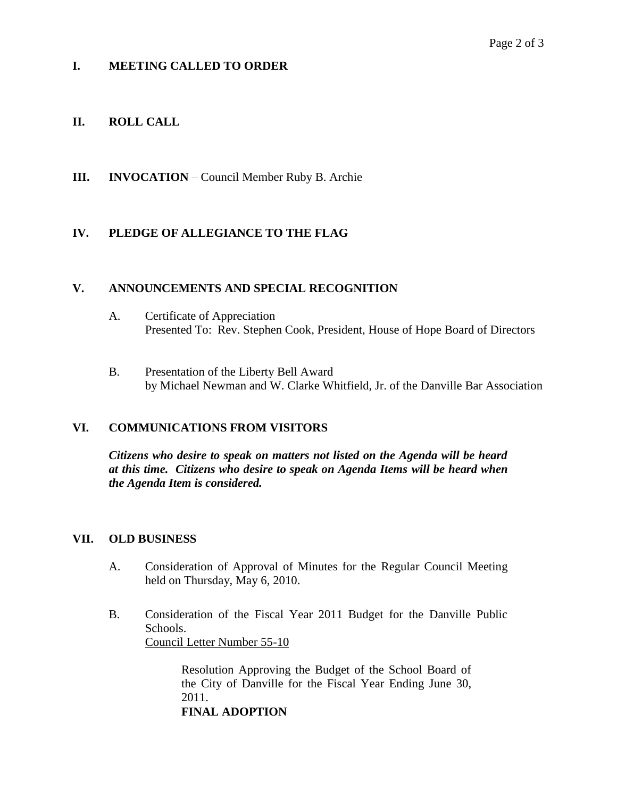## **I. MEETING CALLED TO ORDER**

## **II. ROLL CALL**

**III. INVOCATION** – Council Member Ruby B. Archie

## **IV. PLEDGE OF ALLEGIANCE TO THE FLAG**

### **V. ANNOUNCEMENTS AND SPECIAL RECOGNITION**

- A. Certificate of Appreciation Presented To: Rev. Stephen Cook, President, House of Hope Board of Directors
- B. Presentation of the Liberty Bell Award by Michael Newman and W. Clarke Whitfield, Jr. of the Danville Bar Association

### **VI. COMMUNICATIONS FROM VISITORS**

*Citizens who desire to speak on matters not listed on the Agenda will be heard at this time. Citizens who desire to speak on Agenda Items will be heard when the Agenda Item is considered.*

### **VII. OLD BUSINESS**

- A. Consideration of Approval of Minutes for the Regular Council Meeting held on Thursday, May 6, 2010.
- B. Consideration of the Fiscal Year 2011 Budget for the Danville Public Schools. Council Letter Number 55-10

Resolution Approving the Budget of the School Board of the City of Danville for the Fiscal Year Ending June 30, 2011. **FINAL ADOPTION**